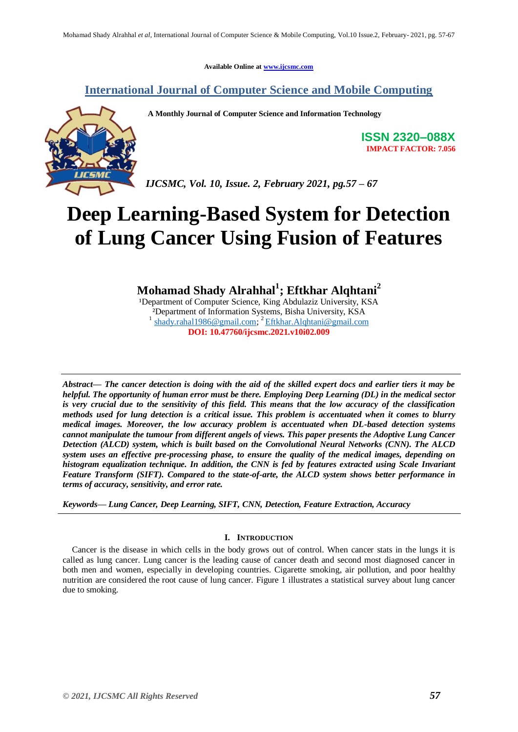**Available Online at [www.ijcsmc.com](http://www.ijcsmc.com/)**

# **International Journal of Computer Science and Mobile Computing**

**A Monthly Journal of Computer Science and Information Technology**



**ISSN 2320–088X IMPACT FACTOR: 7.056**

*IJCSMC, Vol. 10, Issue. 2, February 2021, pg.57 – 67*

# **Deep Learning-Based System for Detection of Lung Cancer Using Fusion of Features**

**Mohamad Shady Alrahhal<sup>1</sup> ; Eftkhar Alqhtani<sup>2</sup>**

<sup>1</sup>Department of Computer Science, King Abdulaziz University, KSA ²Department of Information Systems, Bisha University, KSA 1 [shady.rahal1986@gmail.com;](mailto:shady.rahal1986@gmail.com) <sup>2</sup> [Eftkhar.Alqhtani@gmail.com](mailto:Eftkhar.Alqhtani@gmail.com) **DOI: 10.47760/ijcsmc.2021.v10i02.009**

*Abstract— The cancer detection is doing with the aid of the skilled expert docs and earlier tiers it may be helpful. The opportunity of human error must be there. Employing Deep Learning (DL) in the medical sector is very crucial due to the sensitivity of this field. This means that the low accuracy of the classification methods used for lung detection is a critical issue. This problem is accentuated when it comes to blurry medical images. Moreover, the low accuracy problem is accentuated when DL-based detection systems cannot manipulate the tumour from different angels of views. This paper presents the Adoptive Lung Cancer Detection (ALCD) system, which is built based on the Convolutional Neural Networks (CNN). The ALCD system uses an effective pre-processing phase, to ensure the quality of the medical images, depending on histogram equalization technique. In addition, the CNN is fed by features extracted using Scale Invariant Feature Transform (SIFT). Compared to the state-of-arte, the ALCD system shows better performance in terms of accuracy, sensitivity, and error rate.*

*Keywords— Lung Cancer, Deep Learning, SIFT, CNN, Detection, Feature Extraction, Accuracy*

### **I. INTRODUCTION**

Cancer is the disease in which cells in the body grows out of control. When cancer stats in the lungs it is called as lung cancer. Lung cancer is the leading cause of cancer death and second most diagnosed cancer in both men and women, especially in developing countries. Cigarette smoking, air pollution, and poor healthy nutrition are considered the root cause of lung cancer. Figure 1 illustrates a statistical survey about lung cancer due to smoking.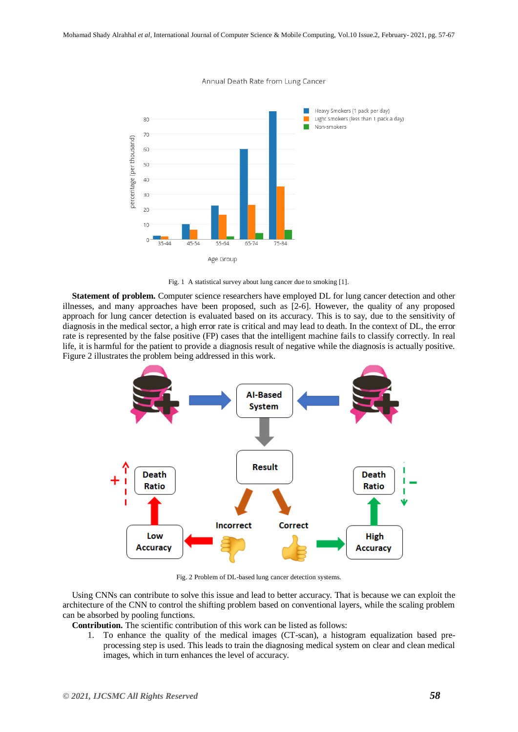

Annual Death Rate from Lung Cancer



**Statement of problem.** Computer science researchers have employed DL for lung cancer detection and other illnesses, and many approaches have been proposed, such as [2-6]. However, the quality of any proposed approach for lung cancer detection is evaluated based on its accuracy. This is to say, due to the sensitivity of diagnosis in the medical sector, a high error rate is critical and may lead to death. In the context of DL, the error rate is represented by the false positive (FP) cases that the intelligent machine fails to classify correctly. In real life, it is harmful for the patient to provide a diagnosis result of negative while the diagnosis is actually positive. Figure 2 illustrates the problem being addressed in this work.



Fig. 2 Problem of DL-based lung cancer detection systems.

Using CNNs can contribute to solve this issue and lead to better accuracy. That is because we can exploit the architecture of the CNN to control the shifting problem based on conventional layers, while the scaling problem can be absorbed by pooling functions.

**Contribution.** The scientific contribution of this work can be listed as follows:

1. To enhance the quality of the medical images (CT-scan), a histogram equalization based preprocessing step is used. This leads to train the diagnosing medical system on clear and clean medical images, which in turn enhances the level of accuracy.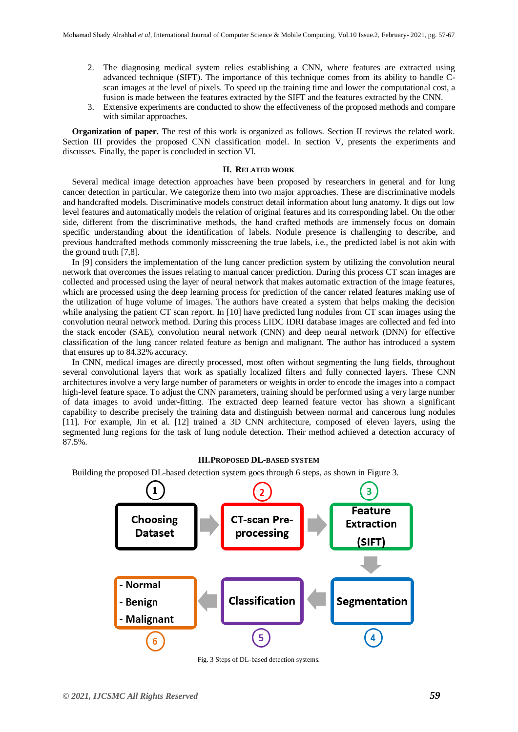- 2. The diagnosing medical system relies establishing a CNN, where features are extracted using advanced technique (SIFT). The importance of this technique comes from its ability to handle Cscan images at the level of pixels. To speed up the training time and lower the computational cost, a fusion is made between the features extracted by the SIFT and the features extracted by the CNN.
- 3. Extensive experiments are conducted to show the effectiveness of the proposed methods and compare with similar approaches.

**Organization of paper.** The rest of this work is organized as follows. Section II reviews the related work. Section III provides the proposed CNN classification model. In section V, presents the experiments and discusses. Finally, the paper is concluded in section VI.

#### **II. RELATED WORK**

Several medical image detection approaches have been proposed by researchers in general and for lung cancer detection in particular. We categorize them into two major approaches. These are discriminative models and handcrafted models. Discriminative models construct detail information about lung anatomy. It digs out low level features and automatically models the relation of original features and its corresponding label. On the other side, different from the discriminative methods, the hand crafted methods are immensely focus on domain specific understanding about the identification of labels. Nodule presence is challenging to describe, and previous handcrafted methods commonly misscreening the true labels, i.e., the predicted label is not akin with the ground truth [7,8].

In [9] considers the implementation of the lung cancer prediction system by utilizing the convolution neural network that overcomes the issues relating to manual cancer prediction. During this process CT scan images are collected and processed using the layer of neural network that makes automatic extraction of the image features, which are processed using the deep learning process for prediction of the cancer related features making use of the utilization of huge volume of images. The authors have created a system that helps making the decision while analysing the patient CT scan report. In [10] have predicted lung nodules from CT scan images using the convolution neural network method. During this process LIDC IDRI database images are collected and fed into the stack encoder (SAE), convolution neural network (CNN) and deep neural network (DNN) for effective classification of the lung cancer related feature as benign and malignant. The author has introduced a system that ensures up to 84.32% accuracy.

In CNN, medical images are directly processed, most often without segmenting the lung fields, throughout several convolutional layers that work as spatially localized filters and fully connected layers. These CNN architectures involve a very large number of parameters or weights in order to encode the images into a compact high-level feature space. To adjust the CNN parameters, training should be performed using a very large number of data images to avoid under-fitting. The extracted deep learned feature vector has shown a significant capability to describe precisely the training data and distinguish between normal and cancerous lung nodules [11]. For example, Jin et al. [12] trained a 3D CNN architecture, composed of eleven layers, using the segmented lung regions for the task of lung nodule detection. Their method achieved a detection accuracy of 87.5%.

#### **III.PROPOSED DL-BASED SYSTEM**

Building the proposed DL-based detection system goes through 6 steps, as shown in Figure 3.



Fig. 3 Steps of DL-based detection systems.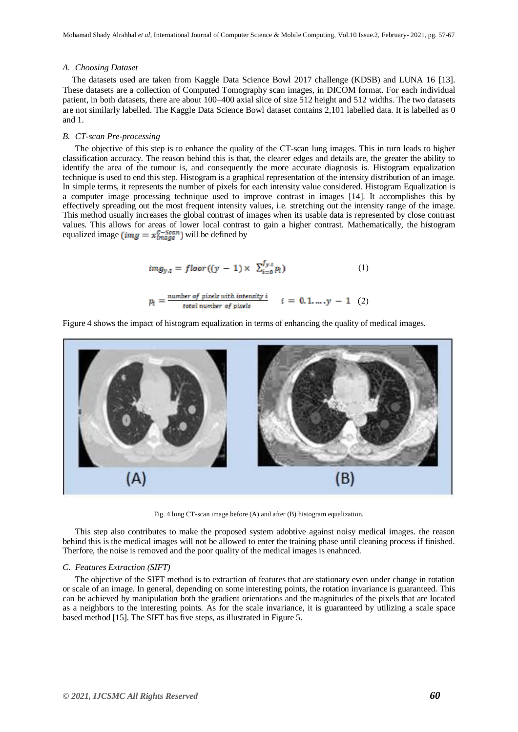#### *A. Choosing Dataset*

The datasets used are taken from Kaggle Data Science Bowl 2017 challenge (KDSB) and LUNA 16 [13]. These datasets are a collection of Computed Tomography scan images, in DICOM format. For each individual patient, in both datasets, there are about 100–400 axial slice of size 512 height and 512 widths. The two datasets are not similarly labelled. The Kaggle Data Science Bowl dataset contains 2,101 labelled data. It is labelled as 0 and 1.

#### *B. CT-scan Pre-processing*

The objective of this step is to enhance the quality of the CT-scan lung images. This in turn leads to higher classification accuracy. The reason behind this is that, the clearer edges and details are, the greater the ability to identify the area of the tumour is, and consequently the more accurate diagnosis is. Histogram equalization technique is used to end this step. Histogram is a graphical representation of the intensity distribution of an image. In simple terms, it represents the number of pixels for each intensity value considered. Histogram Equalization is a computer image processing technique used to improve contrast in images [14]. It accomplishes this by effectively spreading out the most frequent intensity values, i.e. stretching out the intensity range of the image. This method usually increases the global contrast of images when its usable data is represented by close contrast values. This allows for areas of lower local contrast to gain a higher contrast. Mathematically, the histogram equalized image (img =  $x_{image}^{C-Scan}$ ) will be defined by

$$
img_{y,t} = floor((y-1) \times \sum_{i=0}^{f_{y,t}} p_i)
$$
 (1)

$$
p_i = \frac{number\ of\ pixels\ with\ intensity\ i}{total\ number\ of\ pixels} \qquad i = 0, 1, ..., y - 1 \quad (2)
$$

Figure 4 shows the impact of histogram equalization in terms of enhancing the quality of medical images.



Fig. 4 lung CT-scan image before (A) and after (B) histogram equalization.

This step also contributes to make the proposed system adobtive against noisy medical images. the reason behind this is the medical images will not be allowed to enter the training phase until cleaning process if finished. Therfore, the noise is removed and the poor quality of the medical images is enahnced.

#### *C. Features Extraction (SIFT)*

The objective of the SIFT method is to extraction of features that are stationary even under change in rotation or scale of an image. In general, depending on some interesting points, the rotation invariance is guaranteed. This can be achieved by manipulation both the gradient orientations and the magnitudes of the pixels that are located as a neighbors to the interesting points. As for the scale invariance, it is guaranteed by utilizing a scale space based method [15]. The SIFT has five steps, as illustrated in Figure 5.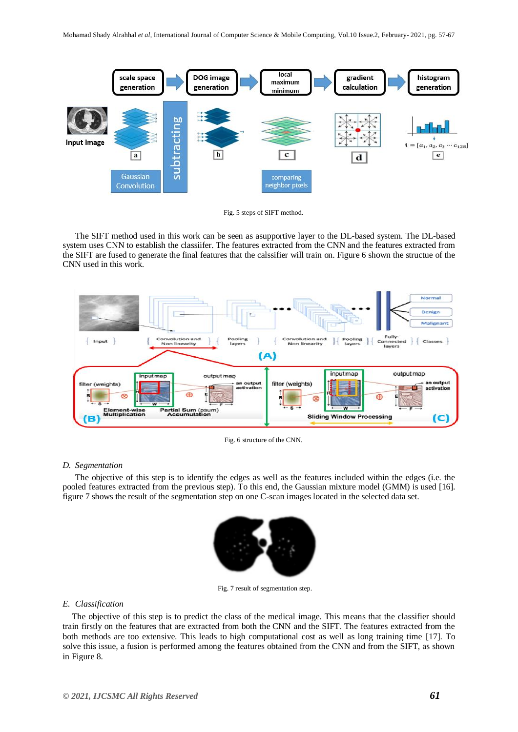

Fig. 5 steps of SIFT method.

The SIFT method used in this work can be seen as asupportive layer to the DL-based system. The DL-based system uses CNN to establish the classiifer. The features extracted from the CNN and the features extracted from the SIFT are fused to generate the final features that the calssifier will train on. Figure 6 shown the structue of the CNN used in this work.



Fig. 6 structure of the CNN.

## *D. Segmentation*

The objective of this step is to identify the edges as well as the features included within the edges (i.e. the pooled features extracted from the previous step). To this end, the Gaussian mixture model (GMM) is used [16]. figure 7 shows the result of the segmentation step on one C-scan images located in the selected data set.



Fig. 7 result of segmentation step.

### *E. Classification*

The objective of this step is to predict the class of the medical image. This means that the classifier should train firstly on the features that are extracted from both the CNN and the SIFT. The features extracted from the both methods are too extensive. This leads to high computational cost as well as long training time [17]. To solve this issue, a fusion is performed among the features obtained from the CNN and from the SIFT, as shown in Figure 8.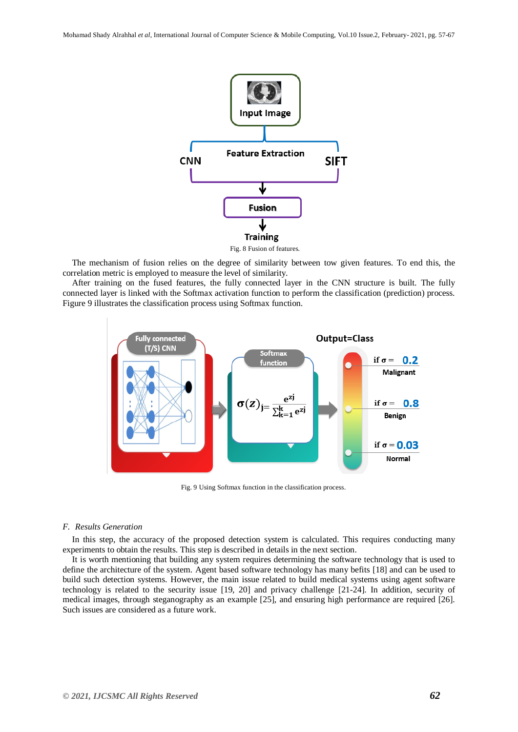

Fig. 8 Fusion of features.

The mechanism of fusion relies on the degree of similarity between tow given features. To end this, the correlation metric is employed to measure the level of similarity.

After training on the fused features, the fully connected layer in the CNN structure is built. The fully connected layer is linked with the Softmax activation function to perform the classification (prediction) process. Figure 9 illustrates the classification process using Softmax function.



Fig. 9 Using Softmax function in the classification process.

#### *F. Results Generation*

In this step, the accuracy of the proposed detection system is calculated. This requires conducting many experiments to obtain the results. This step is described in details in the next section.

It is worth mentioning that building any system requires determining the software technology that is used to define the architecture of the system. Agent based software technology has many befits [18] and can be used to build such detection systems. However, the main issue related to build medical systems using agent software technology is related to the security issue [19, 20] and privacy challenge [21-24]. In addition, security of medical images, through steganography as an example [25], and ensuring high performance are required [26]. Such issues are considered as a future work.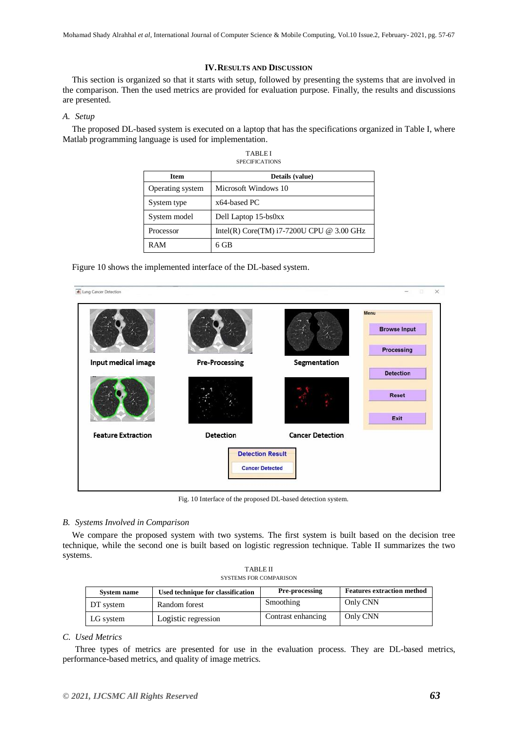### **IV.RESULTS AND DISCUSSION**

This section is organized so that it starts with setup, followed by presenting the systems that are involved in the comparison. Then the used metrics are provided for evaluation purpose. Finally, the results and discussions are presented.

#### *A. Setup*

The proposed DL-based system is executed on a laptop that has the specifications organized in Table I, where Matlab programming language is used for implementation.

| <b>TABLEI</b>  |
|----------------|
| SPECIFICATIONS |

| <b>Item</b>      | Details (value)                             |
|------------------|---------------------------------------------|
| Operating system | Microsoft Windows 10                        |
| System type      | x64-based PC                                |
| System model     | Dell Laptop 15-bs0xx                        |
| Processor        | Intel(R) Core(TM) $i7-7200U$ CPU @ 3.00 GHz |
| <b>RAM</b>       | $6$ GB                                      |

Figure 10 shows the implemented interface of the DL-based system.



Fig. 10 Interface of the proposed DL-based detection system.

### *B. Systems Involved in Comparison*

We compare the proposed system with two systems. The first system is built based on the decision tree technique, while the second one is built based on logistic regression technique. Table II summarizes the two systems.

| <b>TABLE II</b>        |  |
|------------------------|--|
| SYSTEMS FOR COMPARISON |  |

| System name | Used technique for classification | Pre-processing     | <b>Features extraction method</b> |
|-------------|-----------------------------------|--------------------|-----------------------------------|
| DT system   | Random forest                     | Smoothing          | Only CNN                          |
| LG system   | Logistic regression               | Contrast enhancing | Only CNN                          |

### *C. Used Metrics*

Three types of metrics are presented for use in the evaluation process. They are DL-based metrics, performance-based metrics, and quality of image metrics.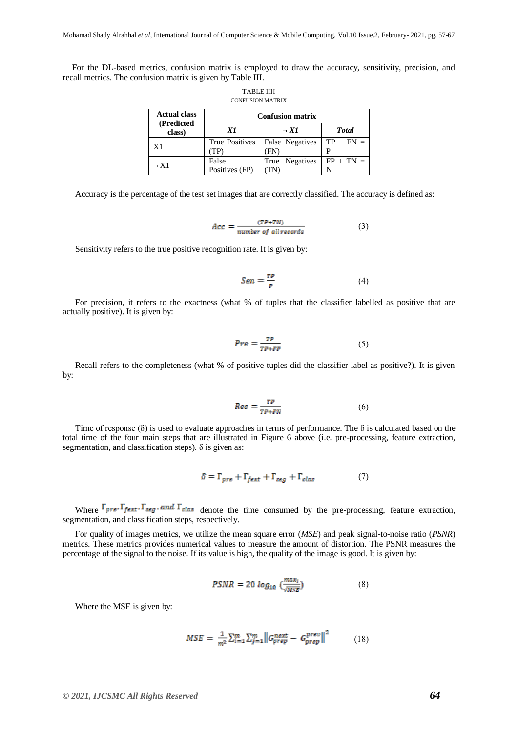For the DL-based metrics, confusion matrix is employed to draw the accuracy, sensitivity, precision, and recall metrics. The confusion matrix is given by Table III.

TABLE IIII

| <b>CONFUSION MATRIX</b>           |                         |                 |              |  |
|-----------------------------------|-------------------------|-----------------|--------------|--|
| <b>Actual class</b><br>(Predicted | <b>Confusion matrix</b> |                 |              |  |
| class)                            | X1                      | $\neg$ X1       | <b>Total</b> |  |
| X <sub>1</sub>                    | <b>True Positives</b>   | False Negatives | $TP + FN =$  |  |
|                                   | (TP)                    | (FN)            | P            |  |
| $\neg$ X1                         | False                   | True Negatives  | $FP + TN =$  |  |
|                                   | Positives (FP)          |                 |              |  |

Accuracy is the percentage of the test set images that are correctly classified. The accuracy is defined as:

$$
Acc = \frac{(TP+TN)}{number\ of\ all\ records} \tag{3}
$$

Sensitivity refers to the true positive recognition rate. It is given by:

$$
Sen = \frac{TP}{P} \tag{4}
$$

For precision, it refers to the exactness (what % of tuples that the classifier labelled as positive that are actually positive). It is given by:

$$
Pre = \frac{TP}{TP + FP} \tag{5}
$$

Recall refers to the completeness (what % of positive tuples did the classifier label as positive?). It is given by:

$$
Rec = \frac{TP}{TP + FN} \tag{6}
$$

Time of response ( $\delta$ ) is used to evaluate approaches in terms of performance. The  $\delta$  is calculated based on the total time of the four main steps that are illustrated in Figure 6 above (i.e. pre-processing, feature extraction, segmentation, and classification steps).  $\delta$  is given as:

$$
\delta = \Gamma_{pre} + \Gamma_{fext} + \Gamma_{seg} + \Gamma_{clas} \tag{7}
$$

Where  $\Gamma_{pre}$ ,  $\Gamma_{fext}$ ,  $\Gamma_{seg}$ , and  $\Gamma_{clas}$  denote the time consumed by the pre-processing, feature extraction, segmentation, and classification steps, respectively.

For quality of images metrics, we utilize the mean square error (*MSE*) and peak signal-to-noise ratio (*PSNR*) metrics. These metrics provides numerical values to measure the amount of distortion. The PSNR measures the percentage of the signal to the noise. If its value is high, the quality of the image is good. It is given by:

$$
PSNR = 20 \log_{10} \left( \frac{max_i}{MSE} \right) \tag{8}
$$

Where the MSE is given by:

$$
MSE = \frac{1}{m^2} \sum_{i=1}^{m} \sum_{j=1}^{m} ||G_{prep}^{next} - G_{prep}^{prev}||^2
$$
 (18)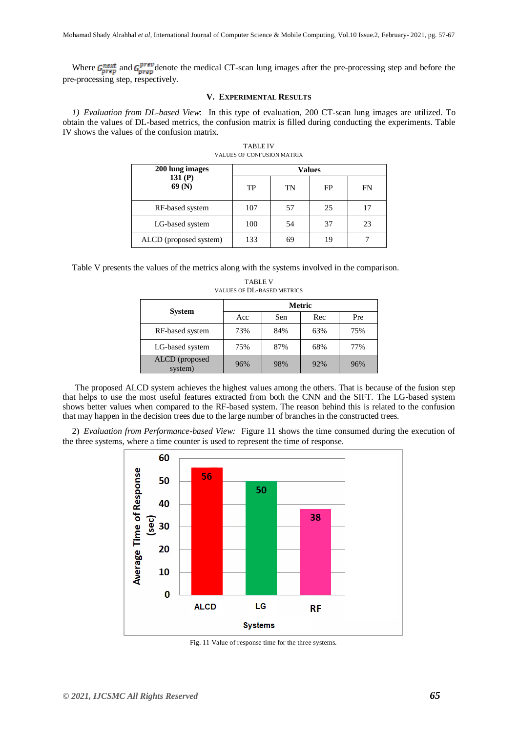Where  $G_{prep}^{next}$  and  $G_{prep}^{prev}$  denote the medical CT-scan lung images after the pre-processing step and before the pre-processing step, respectively.

### **V. EXPERIMENTAL RESULTS**

*1) Evaluation from DL-based View*: In this type of evaluation, 200 CT-scan lung images are utilized. To obtain the values of DL-based metrics, the confusion matrix is filled during conducting the experiments. Table IV shows the values of the confusion matrix*.* 

| 200 lung images        | <b>Values</b> |    |    |    |
|------------------------|---------------|----|----|----|
| 131 $(P)$<br>69(N)     | TP            | TN | FP | FN |
| RF-based system        | 107           | 57 | 25 |    |
| LG-based system        | 100           | 54 | 37 | 23 |
| ALCD (proposed system) | 133           | 69 | 19 |    |

TABLE IV VALUES OF CONFUSION MATRIX

Table V presents the values of the metrics along with the systems involved in the comparison.

|                           | <b>Metric</b> |     |     |     |
|---------------------------|---------------|-----|-----|-----|
| <b>System</b>             | Acc           | Sen | Rec | Pre |
| RF-based system           | 73%           | 84% | 63% | 75% |
| LG-based system           | 75%           | 87% | 68% | 77% |
| ALCD (proposed<br>system) | 96%           | 98% | 92% | 96% |

TABLE V VALUES OF DL-BASED METRICS

The proposed ALCD system achieves the highest values among the others. That is because of the fusion step that helps to use the most useful features extracted from both the CNN and the SIFT. The LG-based system shows better values when compared to the RF-based system. The reason behind this is related to the confusion that may happen in the decision trees due to the large number of branches in the constructed trees.

2) *Evaluation from Performance-based View:* Figure 11 shows the time consumed during the execution of the three systems, where a time counter is used to represent the time of response.



Fig. 11 Value of response time for the three systems.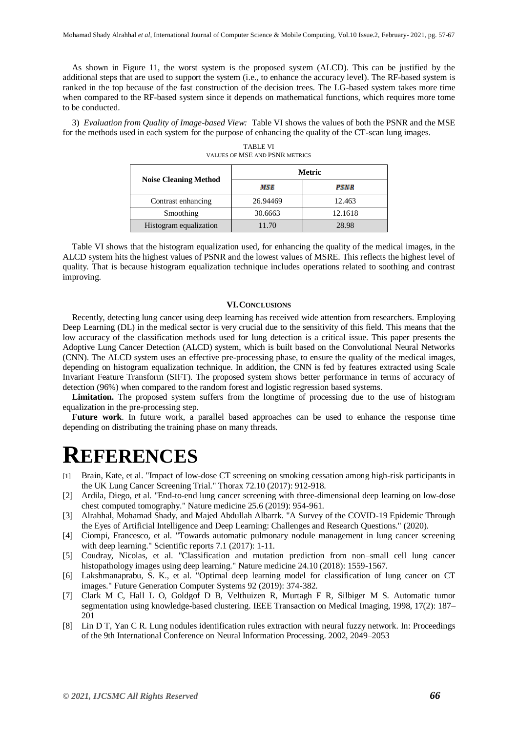As shown in Figure 11, the worst system is the proposed system (ALCD). This can be justified by the additional steps that are used to support the system (i.e., to enhance the accuracy level). The RF-based system is ranked in the top because of the fast construction of the decision trees. The LG-based system takes more time when compared to the RF-based system since it depends on mathematical functions, which requires more tome to be conducted.

3) *Evaluation from Quality of Image-based View:* Table VI shows the values of both the PSNR and the MSE for the methods used in each system for the purpose of enhancing the quality of the CT-scan lung images.

|                              | Metric   |         |  |
|------------------------------|----------|---------|--|
| <b>Noise Cleaning Method</b> | MSE      | PSNR    |  |
| Contrast enhancing           | 26.94469 | 12.463  |  |
| Smoothing                    | 30.6663  | 12.1618 |  |
| Histogram equalization       | 11.70    | 28.98   |  |

TABLE VI VALUES OF MSE AND PSNR METRICS

Table VI shows that the histogram equalization used, for enhancing the quality of the medical images, in the ALCD system hits the highest values of PSNR and the lowest values of MSRE. This reflects the highest level of quality. That is because histogram equalization technique includes operations related to soothing and contrast improving.

#### **VI.CONCLUSIONS**

Recently, detecting lung cancer using deep learning has received wide attention from researchers. Employing Deep Learning (DL) in the medical sector is very crucial due to the sensitivity of this field. This means that the low accuracy of the classification methods used for lung detection is a critical issue. This paper presents the Adoptive Lung Cancer Detection (ALCD) system, which is built based on the Convolutional Neural Networks (CNN). The ALCD system uses an effective pre-processing phase, to ensure the quality of the medical images, depending on histogram equalization technique. In addition, the CNN is fed by features extracted using Scale Invariant Feature Transform (SIFT). The proposed system shows better performance in terms of accuracy of detection (96%) when compared to the random forest and logistic regression based systems.

Limitation. The proposed system suffers from the longtime of processing due to the use of histogram equalization in the pre-processing step.

**Future work**. In future work, a parallel based approaches can be used to enhance the response time depending on distributing the training phase on many threads.

# **REFERENCES**

- [1] Brain, Kate, et al. "Impact of low-dose CT screening on smoking cessation among high-risk participants in the UK Lung Cancer Screening Trial." Thorax 72.10 (2017): 912-918.
- [2] Ardila, Diego, et al. "End-to-end lung cancer screening with three-dimensional deep learning on low-dose chest computed tomography." Nature medicine 25.6 (2019): 954-961.
- [3] Alrahhal, Mohamad Shady, and Majed Abdullah Albarrk. "A Survey of the COVID-19 Epidemic Through the Eyes of Artificial Intelligence and Deep Learning: Challenges and Research Questions." (2020).
- [4] Ciompi, Francesco, et al. "Towards automatic pulmonary nodule management in lung cancer screening with deep learning." Scientific reports 7.1 (2017): 1-11.
- [5] Coudray, Nicolas, et al. "Classification and mutation prediction from non–small cell lung cancer histopathology images using deep learning." Nature medicine 24.10 (2018): 1559-1567.
- [6] Lakshmanaprabu, S. K., et al. "Optimal deep learning model for classification of lung cancer on CT images." Future Generation Computer Systems 92 (2019): 374-382.
- [7] Clark M C, Hall L O, Goldgof D B, Velthuizen R, Murtagh F R, Silbiger M S. Automatic tumor segmentation using knowledge-based clustering. IEEE Transaction on Medical Imaging, 1998, 17(2): 187– 201
- [8] Lin D T, Yan C R. Lung nodules identification rules extraction with neural fuzzy network. In: Proceedings of the 9th International Conference on Neural Information Processing. 2002, 2049–2053